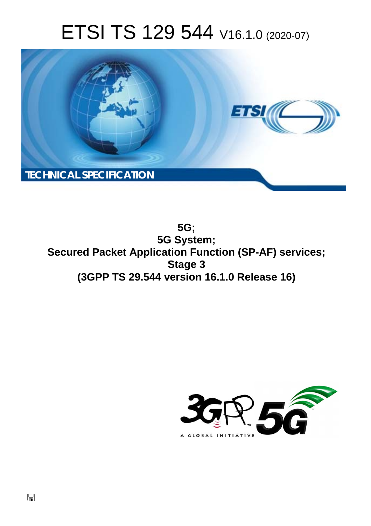# ETSI TS 129 544 V16.1.0 (2020-07)



**5G; 5G System; Secured Packet Application Function (SP-AF) services; Stage 3 (3GPP TS 29.544 version 16.1.0 Release 16)** 

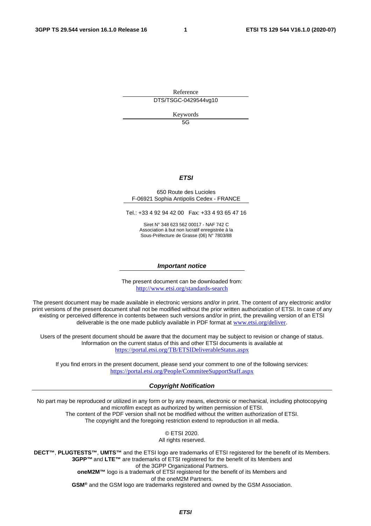Reference DTS/TSGC-0429544vg10

Keywords

 $5G$ 

#### *ETSI*

#### 650 Route des Lucioles F-06921 Sophia Antipolis Cedex - FRANCE

Tel.: +33 4 92 94 42 00 Fax: +33 4 93 65 47 16

Siret N° 348 623 562 00017 - NAF 742 C Association à but non lucratif enregistrée à la Sous-Préfecture de Grasse (06) N° 7803/88

#### *Important notice*

The present document can be downloaded from: <http://www.etsi.org/standards-search>

The present document may be made available in electronic versions and/or in print. The content of any electronic and/or print versions of the present document shall not be modified without the prior written authorization of ETSI. In case of any existing or perceived difference in contents between such versions and/or in print, the prevailing version of an ETSI deliverable is the one made publicly available in PDF format at [www.etsi.org/deliver](http://www.etsi.org/deliver).

Users of the present document should be aware that the document may be subject to revision or change of status. Information on the current status of this and other ETSI documents is available at <https://portal.etsi.org/TB/ETSIDeliverableStatus.aspx>

If you find errors in the present document, please send your comment to one of the following services: <https://portal.etsi.org/People/CommiteeSupportStaff.aspx>

#### *Copyright Notification*

No part may be reproduced or utilized in any form or by any means, electronic or mechanical, including photocopying and microfilm except as authorized by written permission of ETSI. The content of the PDF version shall not be modified without the written authorization of ETSI.

The copyright and the foregoing restriction extend to reproduction in all media.

© ETSI 2020. All rights reserved.

**DECT™**, **PLUGTESTS™**, **UMTS™** and the ETSI logo are trademarks of ETSI registered for the benefit of its Members. **3GPP™** and **LTE™** are trademarks of ETSI registered for the benefit of its Members and of the 3GPP Organizational Partners. **oneM2M™** logo is a trademark of ETSI registered for the benefit of its Members and of the oneM2M Partners.

**GSM®** and the GSM logo are trademarks registered and owned by the GSM Association.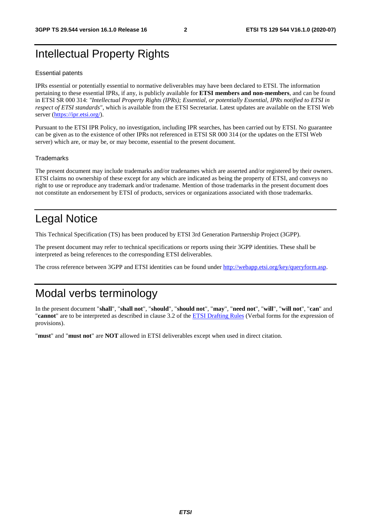# Intellectual Property Rights

#### Essential patents

IPRs essential or potentially essential to normative deliverables may have been declared to ETSI. The information pertaining to these essential IPRs, if any, is publicly available for **ETSI members and non-members**, and can be found in ETSI SR 000 314: *"Intellectual Property Rights (IPRs); Essential, or potentially Essential, IPRs notified to ETSI in respect of ETSI standards"*, which is available from the ETSI Secretariat. Latest updates are available on the ETSI Web server [\(https://ipr.etsi.org/](https://ipr.etsi.org/)).

Pursuant to the ETSI IPR Policy, no investigation, including IPR searches, has been carried out by ETSI. No guarantee can be given as to the existence of other IPRs not referenced in ETSI SR 000 314 (or the updates on the ETSI Web server) which are, or may be, or may become, essential to the present document.

#### **Trademarks**

The present document may include trademarks and/or tradenames which are asserted and/or registered by their owners. ETSI claims no ownership of these except for any which are indicated as being the property of ETSI, and conveys no right to use or reproduce any trademark and/or tradename. Mention of those trademarks in the present document does not constitute an endorsement by ETSI of products, services or organizations associated with those trademarks.

# Legal Notice

This Technical Specification (TS) has been produced by ETSI 3rd Generation Partnership Project (3GPP).

The present document may refer to technical specifications or reports using their 3GPP identities. These shall be interpreted as being references to the corresponding ETSI deliverables.

The cross reference between 3GPP and ETSI identities can be found under<http://webapp.etsi.org/key/queryform.asp>.

# Modal verbs terminology

In the present document "**shall**", "**shall not**", "**should**", "**should not**", "**may**", "**need not**", "**will**", "**will not**", "**can**" and "**cannot**" are to be interpreted as described in clause 3.2 of the [ETSI Drafting Rules](https://portal.etsi.org/Services/editHelp!/Howtostart/ETSIDraftingRules.aspx) (Verbal forms for the expression of provisions).

"**must**" and "**must not**" are **NOT** allowed in ETSI deliverables except when used in direct citation.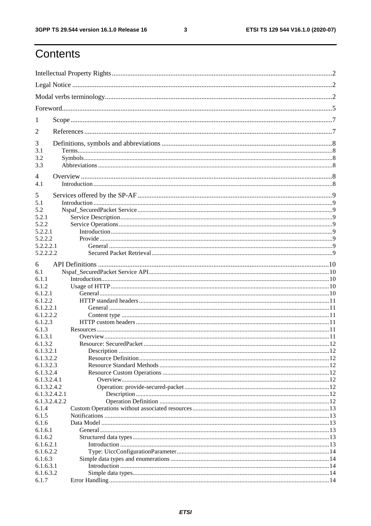$\mathbf{3}$ 

# Contents

| 1                      |  |
|------------------------|--|
| 2                      |  |
| 3                      |  |
| 3.1<br>3.2             |  |
| 3.3                    |  |
| 4                      |  |
| 4.1                    |  |
| 5                      |  |
| 5.1                    |  |
| 5.2                    |  |
| 5.2.1                  |  |
| 5.2.2                  |  |
| 5.2.2.1                |  |
| 5.2.2.2<br>5.2.2.2.1   |  |
| 5.2.2.2.2              |  |
|                        |  |
| 6                      |  |
| 6.1                    |  |
| 6.1.1<br>6.1.2         |  |
| 6.1.2.1                |  |
| 6.1.2.2                |  |
| 6.1.2.2.1              |  |
| 6.1.2.2.2              |  |
| 6.1.2.3                |  |
| 6.1.3                  |  |
| 6.1.3.1                |  |
| 6.1.3.2                |  |
| 6.1.3.2.1<br>6.1.3.2.2 |  |
| 6.1.3.2.3              |  |
| 6.1.3.2.4              |  |
| 6.1.3.2.4.1            |  |
| 6.1.3.2.4.2            |  |
| 6.1.3.2.4.2.1          |  |
| 6.1.3.2.4.2.2          |  |
| 6.1.4                  |  |
| 6.1.5<br>6.1.6         |  |
| 6.1.6.1                |  |
| 6.1.6.2                |  |
| 6.1.6.2.1              |  |
| 6.1.6.2.2              |  |
| 6.1.6.3                |  |
| 6.1.6.3.1              |  |
| 6.1.6.3.2              |  |
| 6.1.7                  |  |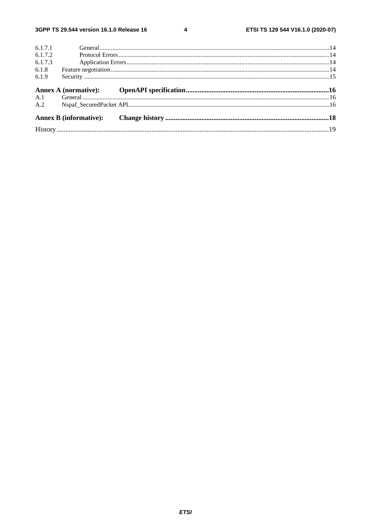$\overline{\mathbf{4}}$ 

| 6.1.7.1 |  |  |
|---------|--|--|
| 6.1.7.2 |  |  |
| 6.1.7.3 |  |  |
| 6.1.8   |  |  |
| 6.1.9   |  |  |
|         |  |  |
|         |  |  |
| A.1     |  |  |
| A.2     |  |  |
|         |  |  |
|         |  |  |
|         |  |  |
|         |  |  |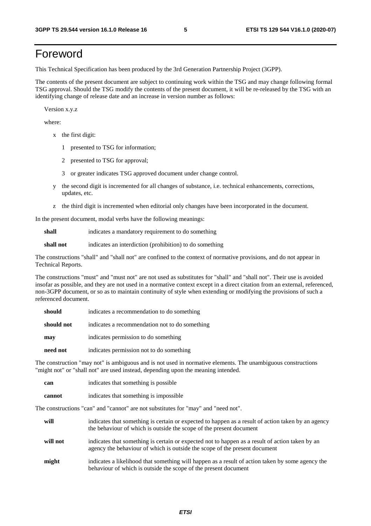# Foreword

This Technical Specification has been produced by the 3rd Generation Partnership Project (3GPP).

The contents of the present document are subject to continuing work within the TSG and may change following formal TSG approval. Should the TSG modify the contents of the present document, it will be re-released by the TSG with an identifying change of release date and an increase in version number as follows:

Version x.y.z

where:

- x the first digit:
	- 1 presented to TSG for information;
	- 2 presented to TSG for approval;
	- 3 or greater indicates TSG approved document under change control.
- y the second digit is incremented for all changes of substance, i.e. technical enhancements, corrections, updates, etc.
- z the third digit is incremented when editorial only changes have been incorporated in the document.

In the present document, modal verbs have the following meanings:

**shall** indicates a mandatory requirement to do something

**shall not** indicates an interdiction (prohibition) to do something

The constructions "shall" and "shall not" are confined to the context of normative provisions, and do not appear in Technical Reports.

The constructions "must" and "must not" are not used as substitutes for "shall" and "shall not". Their use is avoided insofar as possible, and they are not used in a normative context except in a direct citation from an external, referenced, non-3GPP document, or so as to maintain continuity of style when extending or modifying the provisions of such a referenced document.

| should     | indicates a recommendation to do something     |
|------------|------------------------------------------------|
| should not | indicates a recommendation not to do something |
| may        | indicates permission to do something           |
| need not   | indicates permission not to do something       |

The construction "may not" is ambiguous and is not used in normative elements. The unambiguous constructions "might not" or "shall not" are used instead, depending upon the meaning intended.

| can    | indicates that something is possible.  |
|--------|----------------------------------------|
| cannot | indicates that something is impossible |

The constructions "can" and "cannot" are not substitutes for "may" and "need not".

| will     | indicates that something is certain or expected to happen as a result of action taken by an agency<br>the behaviour of which is outside the scope of the present document     |
|----------|-------------------------------------------------------------------------------------------------------------------------------------------------------------------------------|
| will not | indicates that something is certain or expected not to happen as a result of action taken by an<br>agency the behaviour of which is outside the scope of the present document |
| might    | indicates a likelihood that something will happen as a result of action taken by some agency the<br>behaviour of which is outside the scope of the present document           |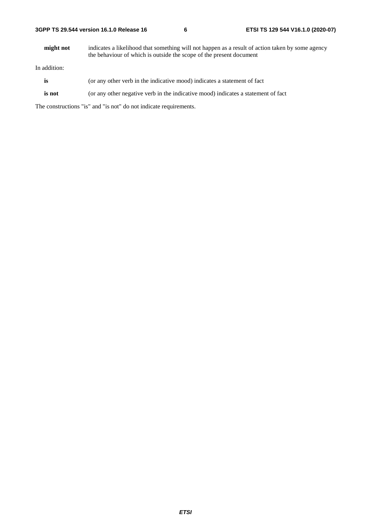**might not** indicates a likelihood that something will not happen as a result of action taken by some agency the behaviour of which is outside the scope of the present document

In addition:

- is (or any other verb in the indicative mood) indicates a statement of fact
- **is not** (or any other negative verb in the indicative mood) indicates a statement of fact

The constructions "is" and "is not" do not indicate requirements.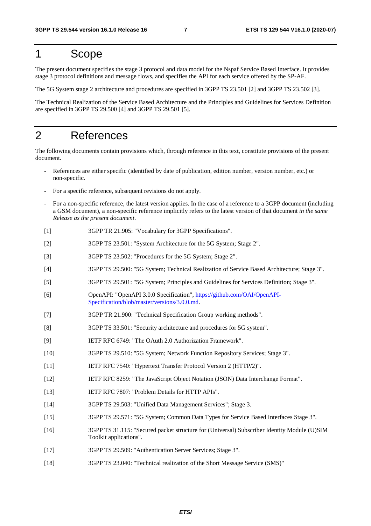# 1 Scope

The present document specifies the stage 3 protocol and data model for the Nspaf Service Based Interface. It provides stage 3 protocol definitions and message flows, and specifies the API for each service offered by the SP-AF.

The 5G System stage 2 architecture and procedures are specified in 3GPP TS 23.501 [2] and 3GPP TS 23.502 [3].

The Technical Realization of the Service Based Architecture and the Principles and Guidelines for Services Definition are specified in 3GPP TS 29.500 [4] and 3GPP TS 29.501 [5].

# 2 References

The following documents contain provisions which, through reference in this text, constitute provisions of the present document.

- References are either specific (identified by date of publication, edition number, version number, etc.) or non-specific.
- For a specific reference, subsequent revisions do not apply.
- For a non-specific reference, the latest version applies. In the case of a reference to a 3GPP document (including a GSM document), a non-specific reference implicitly refers to the latest version of that document *in the same Release as the present document*.
- [1] 3GPP TR 21.905: "Vocabulary for 3GPP Specifications".
- [2] 3GPP TS 23.501: "System Architecture for the 5G System; Stage 2".
- [3] 3GPP TS 23.502: "Procedures for the 5G System; Stage 2".
- [4] 3GPP TS 29.500: "5G System; Technical Realization of Service Based Architecture; Stage 3".
- [5] 3GPP TS 29.501: "5G System; Principles and Guidelines for Services Definition; Stage 3".
- [6] OpenAPI: "OpenAPI 3.0.0 Specification", [https://github.com/OAI/OpenAPI](https://github.com/OAI/OpenAPI-Specification/blob/master/versions/3.0.0.md)-[Specification/blob/master/versions/3.0.0.md](https://github.com/OAI/OpenAPI-Specification/blob/master/versions/3.0.0.md).
- [7] 3GPP TR 21.900: "Technical Specification Group working methods".
- [8] 3GPP TS 33.501: "Security architecture and procedures for 5G system".
- [9] IETF RFC 6749: "The OAuth 2.0 Authorization Framework".
- [10] 3GPP TS 29.510: "5G System; Network Function Repository Services; Stage 3".
- [11] IETF RFC 7540: "Hypertext Transfer Protocol Version 2 (HTTP/2)".
- [12] IETF RFC 8259: "The JavaScript Object Notation (JSON) Data Interchange Format".
- [13] IETF RFC 7807: "Problem Details for HTTP APIs".
- [14] 3GPP TS 29.503: "Unified Data Management Services"; Stage 3.
- [15] 3GPP TS 29.571: "5G System; Common Data Types for Service Based Interfaces Stage 3".
- [16] 3GPP TS 31.115: "Secured packet structure for (Universal) Subscriber Identity Module (U)SIM Toolkit applications".
- [17] 3GPP TS 29.509: "Authentication Server Services; Stage 3".
- [18] 3GPP TS 23.040: "Technical realization of the Short Message Service (SMS)"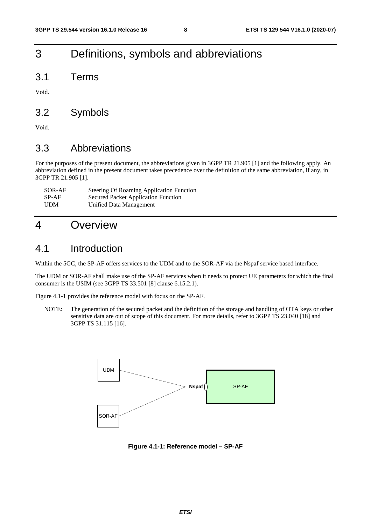# 3 Definitions, symbols and abbreviations

3.1 Terms

Void.

### 3.2 Symbols

Void.

## 3.3 Abbreviations

For the purposes of the present document, the abbreviations given in 3GPP TR 21.905 [1] and the following apply. An abbreviation defined in the present document takes precedence over the definition of the same abbreviation, if any, in 3GPP TR 21.905 [1].

| SOR-AF     | <b>Steering Of Roaming Application Function</b> |
|------------|-------------------------------------------------|
| SP-AF      | <b>Secured Packet Application Function</b>      |
| <b>UDM</b> | Unified Data Management                         |

# 4 Overview

### 4.1 Introduction

Within the 5GC, the SP-AF offers services to the UDM and to the SOR-AF via the Nspaf service based interface.

The UDM or SOR-AF shall make use of the SP-AF services when it needs to protect UE parameters for which the final consumer is the USIM (see 3GPP TS 33.501 [8] clause 6.15.2.1).

Figure 4.1-1 provides the reference model with focus on the SP-AF.

NOTE: The generation of the secured packet and the definition of the storage and handling of OTA keys or other sensitive data are out of scope of this document. For more details, refer to 3GPP TS 23.040 [18] and 3GPP TS 31.115 [16].



**Figure 4.1-1: Reference model – SP-AF**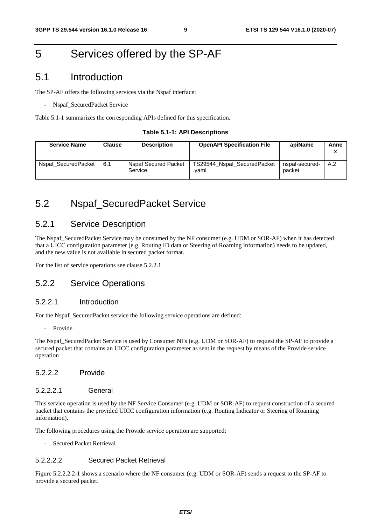# 5 Services offered by the SP-AF

### 5.1 Introduction

The SP-AF offers the following services via the Nspaf interface:

Nspaf\_SecuredPacket Service

Table 5.1-1 summarizes the corresponding APIs defined for this specification.

#### **Table 5.1-1: API Descriptions**

| <b>Service Name</b> | Clause | <b>Description</b>                     | <b>OpenAPI Specification File</b>    | apiName                  | Anne<br>x |
|---------------------|--------|----------------------------------------|--------------------------------------|--------------------------|-----------|
| Nspaf SecuredPacket | 6.1    | <b>Nspaf Secured Packet</b><br>Service | TS29544_Nspaf_SecuredPacket<br>.vaml | nspaf-secured-<br>packet | A.2       |

# 5.2 Nspaf\_SecuredPacket Service

### 5.2.1 Service Description

The Nspaf SecuredPacket Service may be consumed by the NF consumer (e.g. UDM or SOR-AF) when it has detected that a UICC configuration parameter (e.g. Routing ID data or Steering of Roaming information) needs to be updated, and the new value is not available in secured packet format.

For the list of service operations see clause 5.2.2.1

### 5.2.2 Service Operations

#### 5.2.2.1 Introduction

For the Nspaf\_SecuredPacket service the following service operations are defined:

- Provide

The Nspaf\_SecuredPacket Service is used by Consumer NFs (e.g. UDM or SOR-AF) to request the SP-AF to provide a secured packet that contains an UICC configuration parameter as sent in the request by means of the Provide service operation

#### 5.2.2.2 Provide

#### 5.2.2.2.1 General

This service operation is used by the NF Service Consumer (e.g. UDM or SOR-AF) to request construction of a secured packet that contains the provided UICC configuration information (e.g. Routing Indicator or Steering of Roaming information).

The following procedures using the Provide service operation are supported:

Secured Packet Retrieval

#### 5.2.2.2.2 Secured Packet Retrieval

Figure 5.2.2.2.2-1 shows a scenario where the NF consumer (e.g. UDM or SOR-AF) sends a request to the SP-AF to provide a secured packet.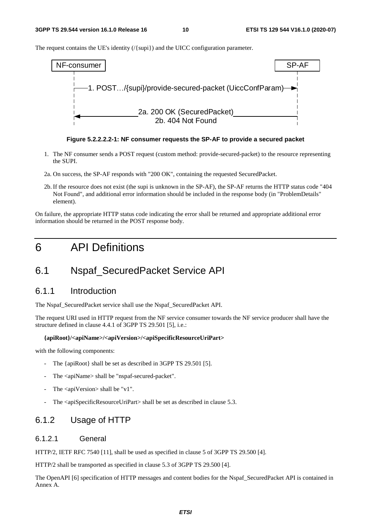The request contains the UE's identity (/{supi}) and the UICC configuration parameter.



**Figure 5.2.2.2.2-1: NF consumer requests the SP-AF to provide a secured packet** 

- 1. The NF consumer sends a POST request (custom method: provide-secured-packet) to the resource representing the SUPI.
- 2a. On success, the SP-AF responds with "200 OK", containing the requested SecuredPacket.
- 2b. If the resource does not exist (the supi is unknown in the SP-AF), the SP-AF returns the HTTP status code "404 Not Found", and additional error information should be included in the response body (in "ProblemDetails" element).

On failure, the appropriate HTTP status code indicating the error shall be returned and appropriate additional error information should be returned in the POST response body.

# 6 API Definitions

# 6.1 Nspaf\_SecuredPacket Service API

### 6.1.1 Introduction

The Nspaf\_SecuredPacket service shall use the Nspaf\_SecuredPacket API.

The request URI used in HTTP request from the NF service consumer towards the NF service producer shall have the structure defined in clause 4.4.1 of 3GPP TS 29.501 [5], i.e.:

#### **{apiRoot}/<apiName>/<apiVersion>/<apiSpecificResourceUriPart>**

with the following components:

- The {apiRoot} shall be set as described in 3GPP TS 29.501 [5].
- The <apiName> shall be "nspaf-secured-packet".
- The  $\langle$ apiVersion $>$ shall be "v1".
- The <apiSpecificResourceUriPart> shall be set as described in clause 5.3.

### 6.1.2 Usage of HTTP

#### 6.1.2.1 General

HTTP/2, IETF RFC 7540 [11], shall be used as specified in clause 5 of 3GPP TS 29.500 [4].

HTTP/2 shall be transported as specified in clause 5.3 of 3GPP TS 29.500 [4].

The OpenAPI [6] specification of HTTP messages and content bodies for the Nspaf\_SecuredPacket API is contained in Annex A.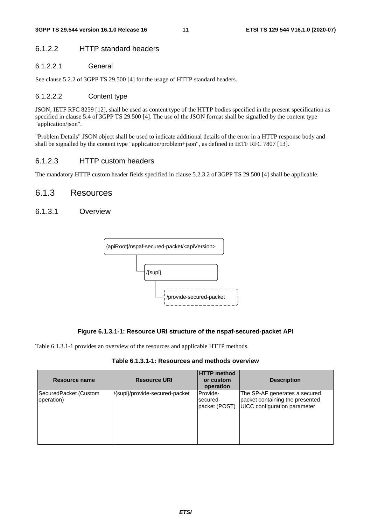### 6.1.2.2 HTTP standard headers

### 6.1.2.2.1 General

See clause 5.2.2 of 3GPP TS 29.500 [4] for the usage of HTTP standard headers.

### 6.1.2.2.2 Content type

JSON, IETF RFC 8259 [12], shall be used as content type of the HTTP bodies specified in the present specification as specified in clause 5.4 of 3GPP TS 29.500 [4]. The use of the JSON format shall be signalled by the content type "application/json".

"Problem Details" JSON object shall be used to indicate additional details of the error in a HTTP response body and shall be signalled by the content type "application/problem+json", as defined in IETF RFC 7807 [13].

### 6.1.2.3 HTTP custom headers

The mandatory HTTP custom header fields specified in clause 5.2.3.2 of 3GPP TS 29.500 [4] shall be applicable.

### 6.1.3 Resources

#### 6.1.3.1 Overview



#### **Figure 6.1.3.1-1: Resource URI structure of the nspaf-secured-packet API**

Table 6.1.3.1-1 provides an overview of the resources and applicable HTTP methods.

**Table 6.1.3.1-1: Resources and methods overview** 

| Resource name                       | <b>Resource URI</b>            | <b>HTTP method</b><br>or custom<br>operation | <b>Description</b>                                                                                      |
|-------------------------------------|--------------------------------|----------------------------------------------|---------------------------------------------------------------------------------------------------------|
| SecuredPacket (Custom<br>operation) | /{supi}/provide-secured-packet | Provide-<br>secured-<br>packet (POST)        | The SP-AF generates a secured<br>packet containing the presented<br><b>UICC</b> configuration parameter |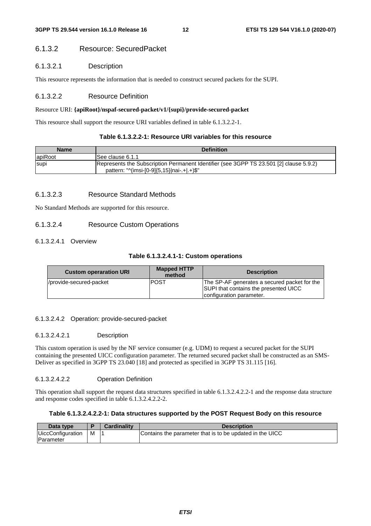### 6.1.3.2 Resource: SecuredPacket

#### 6.1.3.2.1 Description

This resource represents the information that is needed to construct secured packets for the SUPI.

#### 6.1.3.2.2 Resource Definition

#### Resource URI: **{apiRoot}/nspaf-secured-packet/v1/{supi}/provide-secured-packet**

This resource shall support the resource URI variables defined in table 6.1.3.2.2-1.

#### **Table 6.1.3.2.2-1: Resource URI variables for this resource**

| <b>Name</b>                                                                                                                                          | <b>Definition</b> |
|------------------------------------------------------------------------------------------------------------------------------------------------------|-------------------|
| lapiRoot                                                                                                                                             | ISee clause 6.1.1 |
| [Represents the Subscription Permanent Identifier (see 3GPP TS 23.501 [2] clause 5.9.2)<br><b>Supi</b><br>pattern: "^(imsi-[0-9]{5,15} nai-.+ .+)\$" |                   |

#### 6.1.3.2.3 Resource Standard Methods

No Standard Methods are supported for this resource.

#### 6.1.3.2.4 Resource Custom Operations

#### 6.1.3.2.4.1 Overview

#### **Table 6.1.3.2.4.1-1: Custom operations**

| <b>Custom operaration URI</b> | <b>Mapped HTTP</b><br>method | <b>Description</b>                                                                                                |
|-------------------------------|------------------------------|-------------------------------------------------------------------------------------------------------------------|
| //provide-secured-packet      | IPOST                        | The SP-AF generates a secured packet for the<br>SUPI that contains the presented UICC<br>configuration parameter. |

#### 6.1.3.2.4.2 Operation: provide-secured-packet

#### 6.1.3.2.4.2.1 Description

This custom operation is used by the NF service consumer (e.g. UDM) to request a secured packet for the SUPI containing the presented UICC configuration parameter. The returned secured packet shall be constructed as an SMS-Deliver as specified in 3GPP TS 23.040 [18] and protected as specified in 3GPP TS 31.115 [16].

#### 6.1.3.2.4.2.2 Operation Definition

This operation shall support the request data structures specified in table 6.1.3.2.4.2.2-1 and the response data structure and response codes specified in table 6.1.3.2.4.2.2-2.

#### **Table 6.1.3.2.4.2.2-1: Data structures supported by the POST Request Body on this resource**

| Data type                                     |   | Cardinalitv | <b>Description</b>                                       |
|-----------------------------------------------|---|-------------|----------------------------------------------------------|
| <b>UiccConfiguration</b><br><b>IParameter</b> | M |             | Contains the parameter that is to be updated in the UICC |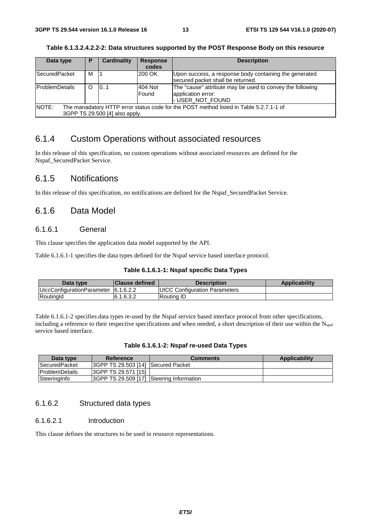| Data type                                                                                       | P | <b>Cardinality</b> | <b>Response</b> | <b>Description</b>                                        |  |
|-------------------------------------------------------------------------------------------------|---|--------------------|-----------------|-----------------------------------------------------------|--|
|                                                                                                 |   |                    | codes           |                                                           |  |
| <b>SecuredPacket</b>                                                                            | м |                    | 200 OK          | Upon success, a response body containing the generated    |  |
|                                                                                                 |   |                    |                 | secured packet shall be returned.                         |  |
| <b>ProblemDetails</b>                                                                           | O | 10.1               | 404 Not         | The "cause" attribute may be used to convey the following |  |
|                                                                                                 |   |                    | Found           | application error:                                        |  |
|                                                                                                 |   |                    |                 | I-USER_NOT_FOUND                                          |  |
| NOTE:<br>The manadatory HTTP error status code for the POST method listed in Table 5.2.7.1-1 of |   |                    |                 |                                                           |  |
| 3GPP TS 29.500 [4] also apply.                                                                  |   |                    |                 |                                                           |  |

**Table 6.1.3.2.4.2.2-2: Data structures supported by the POST Response Body on this resource** 

### 6.1.4 Custom Operations without associated resources

In this release of this specification, no custom operations without associated resources are defined for the Nspaf\_SecuredPacket Service.

### 6.1.5 Notifications

In this release of this specification, no notifications are defined for the Nspaf\_SecuredPacket Service.

### 6.1.6 Data Model

#### 6.1.6.1 General

This clause specifies the application data model supported by the API.

Table 6.1.6.1-1 specifies the data types defined for the Nspaf service based interface protocol.

#### **Table 6.1.6.1-1: Nspaf specific Data Types**

| Data type                            | <b>Clause defined</b> | <b>Description</b>                    | <b>Applicability</b> |
|--------------------------------------|-----------------------|---------------------------------------|----------------------|
| UiccConfigurationParameter 6.1.6.2.2 |                       | <b>IUICC Configuration Parameters</b> |                      |
| RoutingId                            | 6.1.6.3.2             | Routina ID                            |                      |

Table 6.1.6.1-2 specifies data types re-used by the Nspaf service based interface protocol from other specifications, including a reference to their respective specifications and when needed, a short description of their use within the  $N_{\text{spaf}}$ service based interface.

| Table 6.1.6.1-2: Nspaf re-used Data Types |  |  |
|-------------------------------------------|--|--|
|-------------------------------------------|--|--|

| Data type              | Reference                                 | <b>Comments</b> | <b>Applicability</b> |
|------------------------|-------------------------------------------|-----------------|----------------------|
| <b>SecuredPacket</b>   | I3GPP TS 29.503 [14] Secured Packet       |                 |                      |
| <b>IProblemDetails</b> | <b>3GPP TS 29.571 [15]</b>                |                 |                      |
| SteeringInfo           | I3GPP TS 29.509 [17] Steering Information |                 |                      |

### 6.1.6.2 Structured data types

#### 6.1.6.2.1 Introduction

This clause defines the structures to be used in resource representations.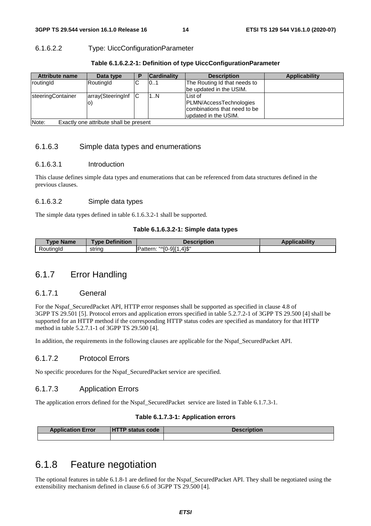#### 6.1.6.2.2 Type: UiccConfigurationParameter

| <b>Attribute name</b>                              | Data type         |  | <b>Cardinality</b> | <b>Description</b>           | <b>Applicability</b> |
|----------------------------------------------------|-------------------|--|--------------------|------------------------------|----------------------|
| routingId                                          | RoutingId         |  | 101                | The Routing Id that needs to |                      |
|                                                    |                   |  |                    | be updated in the USIM.      |                      |
| <b>IsteeringContainer</b>                          | array(SteeringInf |  | 1N                 | List of                      |                      |
|                                                    | lO)               |  |                    | PLMN/AccessTechnologies      |                      |
|                                                    |                   |  |                    | combinations that need to be |                      |
|                                                    |                   |  |                    | updated in the USIM.         |                      |
| $M$ nte:<br>Evectly and attribute shall be present |                   |  |                    |                              |                      |

Note: Exactly one attribute shall be present

#### 6.1.6.3 Simple data types and enumerations

#### 6.1.6.3.1 Introduction

This clause defines simple data types and enumerations that can be referenced from data structures defined in the previous clauses.

#### 6.1.6.3.2 Simple data types

The simple data types defined in table 6.1.6.3.2-1 shall be supported.

#### **Table 6.1.6.3.2-1: Simple data types**

| <b>Type Name</b> | <b>Type Definition</b> | <b>Description</b>                      | <b>Applicability</b> |
|------------------|------------------------|-----------------------------------------|----------------------|
| Routinald        | string                 | . 41\$"<br>"^[0-9]{1<br><b>Pattern.</b> |                      |

### 6.1.7 Error Handling

#### 6.1.7.1 General

For the Nspaf\_SecuredPacket API, HTTP error responses shall be supported as specified in clause 4.8 of 3GPP TS 29.501 [5]. Protocol errors and application errors specified in table 5.2.7.2-1 of 3GPP TS 29.500 [4] shall be supported for an HTTP method if the corresponding HTTP status codes are specified as mandatory for that HTTP method in table 5.2.7.1-1 of 3GPP TS 29.500 [4].

In addition, the requirements in the following clauses are applicable for the Nspaf\_SecuredPacket API.

#### 6.1.7.2 Protocol Errors

No specific procedures for the Nspaf\_SecuredPacket service are specified.

#### 6.1.7.3 Application Errors

The application errors defined for the Nspaf\_SecuredPacket service are listed in Table 6.1.7.3-1.

#### **Table 6.1.7.3-1: Application errors**

| <b>Application Error</b> | <b>TP status code</b><br>n | Description |
|--------------------------|----------------------------|-------------|
|                          |                            |             |

# 6.1.8 Feature negotiation

The optional features in table 6.1.8-1 are defined for the Nspaf\_SecuredPacket API. They shall be negotiated using the extensibility mechanism defined in clause 6.6 of 3GPP TS 29.500 [4].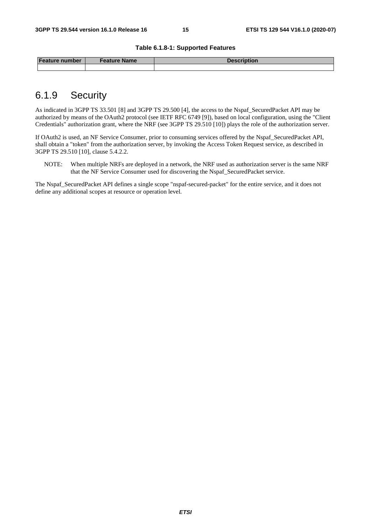#### **Table 6.1.8-1: Supported Features**

| <b>Feature number</b> | <b>Feature Name</b> | Description |
|-----------------------|---------------------|-------------|
|                       |                     |             |

# 6.1.9 Security

As indicated in 3GPP TS 33.501 [8] and 3GPP TS 29.500 [4], the access to the Nspaf\_SecuredPacket API may be authorized by means of the OAuth2 protocol (see IETF RFC 6749 [9]), based on local configuration, using the "Client Credentials" authorization grant, where the NRF (see 3GPP TS 29.510 [10]) plays the role of the authorization server.

If OAuth2 is used, an NF Service Consumer, prior to consuming services offered by the Nspaf\_SecuredPacket API, shall obtain a "token" from the authorization server, by invoking the Access Token Request service, as described in 3GPP TS 29.510 [10], clause 5.4.2.2.

NOTE: When multiple NRFs are deployed in a network, the NRF used as authorization server is the same NRF that the NF Service Consumer used for discovering the Nspaf\_SecuredPacket service.

The Nspaf\_SecuredPacket API defines a single scope "nspaf-secured-packet" for the entire service, and it does not define any additional scopes at resource or operation level.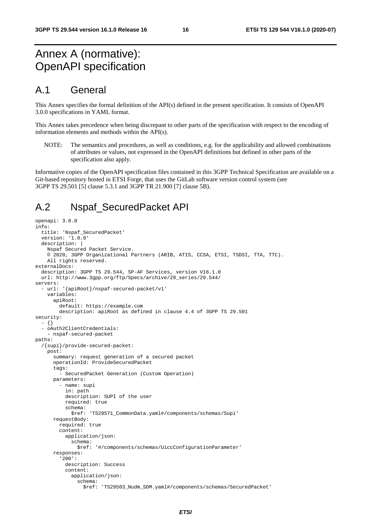# Annex A (normative): OpenAPI specification

# A.1 General

This Annex specifies the formal definition of the API(s) defined in the present specification. It consists of OpenAPI 3.0.0 specifications in YAML format.

This Annex takes precedence when being discrepant to other parts of the specification with respect to the encoding of information elements and methods within the API(s).

NOTE: The semantics and procedures, as well as conditions, e.g. for the applicability and allowed combinations of attributes or values, not expressed in the OpenAPI definitions but defined in other parts of the specification also apply.

Informative copies of the OpenAPI specification files contained in this 3GPP Technical Specification are available on a Git-based repository hosted in ETSI Forge, that uses the GitLab software version control system (see 3GPP TS 29.501 [5] clause 5.3.1 and 3GPP TR 21.900 [7] clause 5B).

# A.2 Nspaf\_SecuredPacket API

```
openapi: 3.0.0 
info: 
   title: 'Nspaf_SecuredPacket' 
   version: '1.0.0' 
   description: | 
     Nspaf Secured Packet Service. 
     © 2020, 3GPP Organizational Partners (ARIB, ATIS, CCSA, ETSI, TSDSI, TTA, TTC). 
     All rights reserved. 
externalDocs: 
   description: 3GPP TS 29.544, SP-AF Services, version V16.1.0 
   url: http://www.3gpp.org/ftp/Specs/archive/29_series/29.544/ 
servers: 
   - url: '{apiRoot}/nspaf-secured-packet/v1' 
     variables: 
       apiRoot: 
          default: https://example.com 
         description: apiRoot as defined in clause 4.4 of 3GPP TS 29.501 
security: 
   - {} 
   - oAuth2ClientCredentials: 
     - nspaf-secured-packet 
paths: 
   /{supi}/provide-secured-packet: 
     post: 
       summary: request generation of a secured packet 
       operationId: ProvideSecuredPacket 
       tags: 
         - SecuredPacket Generation (Custom Operation) 
       parameters: 
          - name: supi 
           in: path 
           description: SUPI of the user 
           required: true 
           schema: 
              $ref: 'TS29571_CommonData.yaml#/components/schemas/Supi' 
       requestBody: 
         required: true 
          content: 
            application/json: 
              schema: 
                $ref: '#/components/schemas/UiccConfigurationParameter' 
       responses: 
          '200': 
            description: Success 
            content: 
              application/json: 
                schema: 
                  $ref: 'TS29503_Nudm_SDM.yaml#/components/schemas/SecuredPacket'
```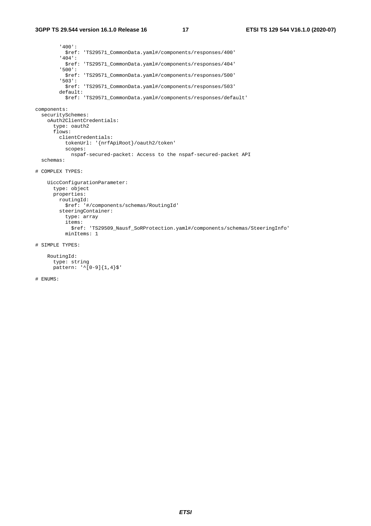'400': \$ref: 'TS29571\_CommonData.yaml#/components/responses/400' '404': \$ref: 'TS29571\_CommonData.yaml#/components/responses/404' '500': \$ref: 'TS29571\_CommonData.yaml#/components/responses/500' '503': \$ref: 'TS29571\_CommonData.yaml#/components/responses/503' default: \$ref: 'TS29571\_CommonData.yaml#/components/responses/default' components: securitySchemes: oAuth2ClientCredentials: type: oauth2 flows: clientCredentials: tokenUrl: '{nrfApiRoot}/oauth2/token' scopes: nspaf-secured-packet: Access to the nspaf-secured-packet API schemas: # COMPLEX TYPES: UiccConfigurationParameter: type: object properties: routingId: \$ref: '#/components/schemas/RoutingId' steeringContainer: type: array items: \$ref: 'TS29509\_Nausf\_SoRProtection.yaml#/components/schemas/SteeringInfo' minItems: 1 # SIMPLE TYPES:

```
 RoutingId: 
   type: string 
   pattern: '^[0-9]{1,4}$'
```
# ENUMS: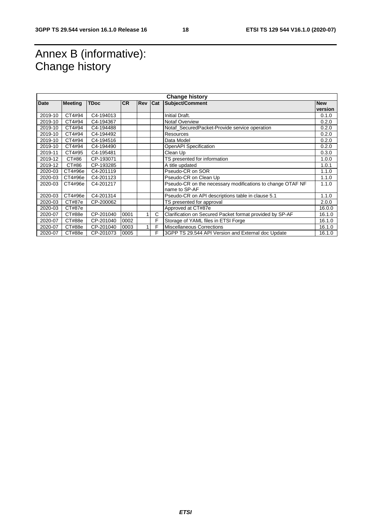# Annex B (informative): Change history

| <b>Change history</b> |                |             |           |            |            |                                                            |            |
|-----------------------|----------------|-------------|-----------|------------|------------|------------------------------------------------------------|------------|
| Date                  | <b>Meeting</b> | <b>TDoc</b> | <b>CR</b> | <b>Rev</b> | <b>Cat</b> | Subject/Comment                                            | <b>New</b> |
|                       |                |             |           |            |            |                                                            | version    |
| 2019-10               | CT4#94         | C4-194013   |           |            |            | Initial Draft.                                             | 0.1.0      |
| 2019-10               | CT4#94         | C4-194367   |           |            |            | <b>Notaf Overview</b>                                      | 0.2.0      |
| 2019-10               | CT4#94         | C4-194488   |           |            |            | Notaf_SecuredPacket-Provide service operation              | 0.2.0      |
| 2019-10               | CT4#94         | C4-194492   |           |            |            | Resources                                                  | 0.2.0      |
| 2019-10               | CT4#94         | C4-194516   |           |            |            | Data Model                                                 | 0.2.0      |
| 2019-10               | CT4#94         | C4-194490   |           |            |            | OpenAPI Specification                                      | 0.2.0      |
| 2019-11               | CT4#95         | C4-195481   |           |            |            | Clean Up                                                   | 0.3.0      |
| 2019-12               | CT#86          | CP-193071   |           |            |            | TS presented for information                               | 1.0.0      |
| 2019-12               | CT#86          | CP-193285   |           |            |            | A title updated                                            | 1.0.1      |
| 2020-03               | CT4#96e        | C4-201119   |           |            |            | Pseudo-CR on SOR                                           | 1.1.0      |
| 2020-03               | CT4#96e        | C4-201123   |           |            |            | Pseudo-CR on Clean Up                                      | 1.1.0      |
| 2020-03               | CT4#96e        | C4-201217   |           |            |            | Pseudo-CR on the necessary modifications to change OTAF NF | 1.1.0      |
|                       |                |             |           |            |            | name to SP-AF                                              |            |
| 2020-03               | CT4#96e        | C4-201314   |           |            |            | Pseudo-CR on API descriptions table in clause 5.1          | 1.1.0      |
| 2020-03               | CT#87e         | CP-200062   |           |            |            | TS presented for approval                                  | 2.0.0      |
| 2020-03               | CT#87e         |             |           |            |            | Approved at CT#87e                                         | 16.0.0     |
| 2020-07               | CT#88e         | CP-201040   | 0001      |            | C          | Clarification on Secured Packet format provided by SP-AF   | 16.1.0     |
| 2020-07               | CT#88e         | CP-201040   | 0002      |            | F          | Storage of YAML files in ETSI Forge                        | 16.1.0     |
| 2020-07               | CT#88e         | CP-201040   | 0003      |            | F          | Miscellaneous Corrections                                  | 16.1.0     |
| 2020-07               | CT#88e         | CP-201073   | 0005      |            | F.         | 3GPP TS 29.544 API Version and External doc Update         | 16.1.0     |